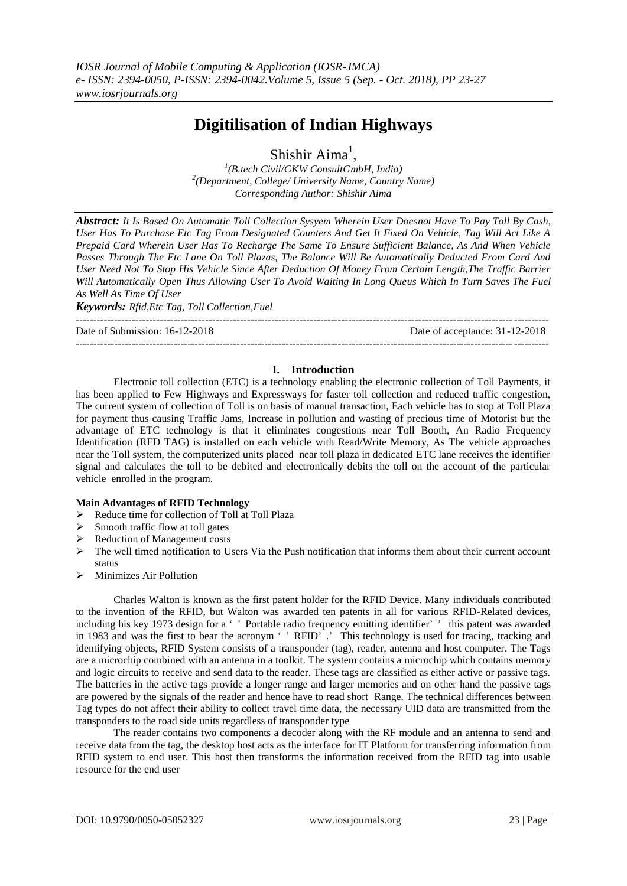# **Digitilisation of Indian Highways**

Shishir Aima<sup>1</sup>,

*1 (B.tech Civil/GKW ConsultGmbH, India) 2 (Department, College/ University Name, Country Name) Corresponding Author: Shishir Aima*

*Abstract: It Is Based On Automatic Toll Collection Sysyem Wherein User Doesnot Have To Pay Toll By Cash, User Has To Purchase Etc Tag From Designated Counters And Get It Fixed On Vehicle, Tag Will Act Like A Prepaid Card Wherein User Has To Recharge The Same To Ensure Sufficient Balance, As And When Vehicle Passes Through The Etc Lane On Toll Plazas, The Balance Will Be Automatically Deducted From Card And User Need Not To Stop His Vehicle Since After Deduction Of Money From Certain Length,The Traffic Barrier Will Automatically Open Thus Allowing User To Avoid Waiting In Long Queus Which In Turn Saves The Fuel As Well As Time Of User*

*Keywords: Rfid,Etc Tag, Toll Collection,Fuel*

Date of Submission: 16-12-2018 Date of acceptance: 31-12-2018

---------------------------------------------------------------------------------------------------------------------------------------

## **I. Introduction**

---------------------------------------------------------------------------------------------------------------------------------------

Electronic toll collection (ETC) is a technology enabling the electronic collection of Toll Payments, it has been applied to Few Highways and Expressways for faster toll collection and reduced traffic congestion, The current system of collection of Toll is on basis of manual transaction, Each vehicle has to stop at Toll Plaza for payment thus causing Traffic Jams, Increase in pollution and wasting of precious time of Motorist but the advantage of ETC technology is that it eliminates congestions near Toll Booth, An Radio Frequency Identification (RFD TAG) is installed on each vehicle with Read/Write Memory, As The vehicle approaches near the Toll system, the computerized units placed near toll plaza in dedicated ETC lane receives the identifier signal and calculates the toll to be debited and electronically debits the toll on the account of the particular vehicle enrolled in the program.

#### **Main Advantages of RFID Technology**

- A Reduce time for collection of Toll at Toll Plaza<br>  $\triangleright$  Smooth traffic flow at toll gates
- Smooth traffic flow at toll gates
- $\triangleright$  Reduction of Management costs
- $\triangleright$  The well timed notification to Users Via the Push notification that informs them about their current account status
- $\triangleright$  Minimizes Air Pollution

Charles Walton is known as the first patent holder for the RFID Device. Many individuals contributed to the invention of the RFID, but Walton was awarded ten patents in all for various RFID-Related devices, including his key 1973 design for a ' ' Portable radio frequency emitting identifier' ' this patent was awarded in 1983 and was the first to bear the acronym ' ' RFID' .' This technology is used for tracing, tracking and identifying objects, RFID System consists of a transponder (tag), reader, antenna and host computer. The Tags are a microchip combined with an antenna in a toolkit. The system contains a microchip which contains memory and logic circuits to receive and send data to the reader. These tags are classified as either active or passive tags. The batteries in the active tags provide a longer range and larger memories and on other hand the passive tags are powered by the signals of the reader and hence have to read short Range. The technical differences between Tag types do not affect their ability to collect travel time data, the necessary UID data are transmitted from the transponders to the road side units regardless of transponder type

The reader contains two components a decoder along with the RF module and an antenna to send and receive data from the tag, the desktop host acts as the interface for IT Platform for transferring information from RFID system to end user. This host then transforms the information received from the RFID tag into usable resource for the end user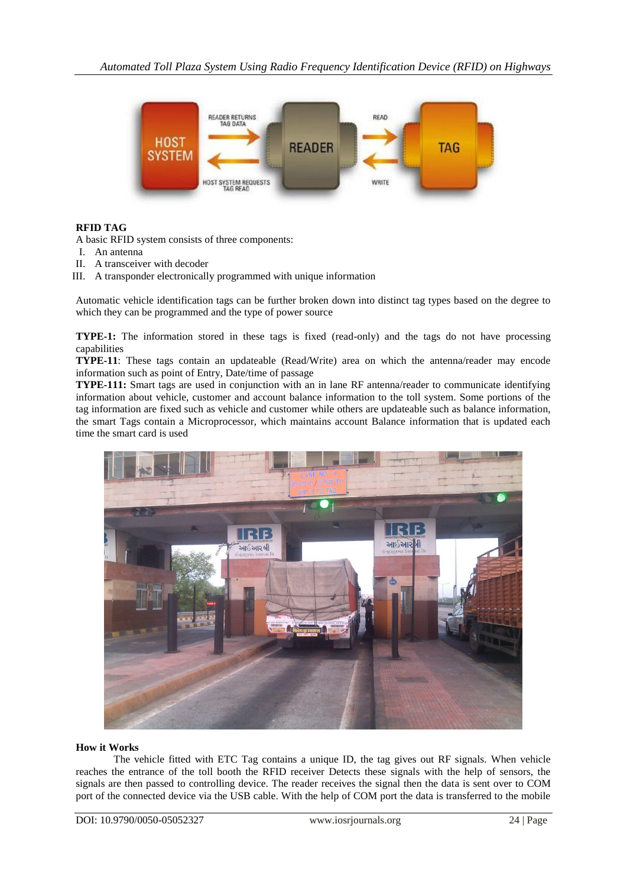

# **RFID TAG**

A basic RFID system consists of three components:

- I. An antenna
- II. A transceiver with decoder
- III. A transponder electronically programmed with unique information

Automatic vehicle identification tags can be further broken down into distinct tag types based on the degree to which they can be programmed and the type of power source

**TYPE-1:** The information stored in these tags is fixed (read-only) and the tags do not have processing capabilities

**TYPE-11**: These tags contain an updateable (Read/Write) area on which the antenna/reader may encode information such as point of Entry, Date/time of passage

**TYPE-111:** Smart tags are used in conjunction with an in lane RF antenna/reader to communicate identifying information about vehicle, customer and account balance information to the toll system. Some portions of the tag information are fixed such as vehicle and customer while others are updateable such as balance information, the smart Tags contain a Microprocessor, which maintains account Balance information that is updated each time the smart card is used



#### **How it Works**

The vehicle fitted with ETC Tag contains a unique ID, the tag gives out RF signals. When vehicle reaches the entrance of the toll booth the RFID receiver Detects these signals with the help of sensors, the signals are then passed to controlling device. The reader receives the signal then the data is sent over to COM port of the connected device via the USB cable. With the help of COM port the data is transferred to the mobile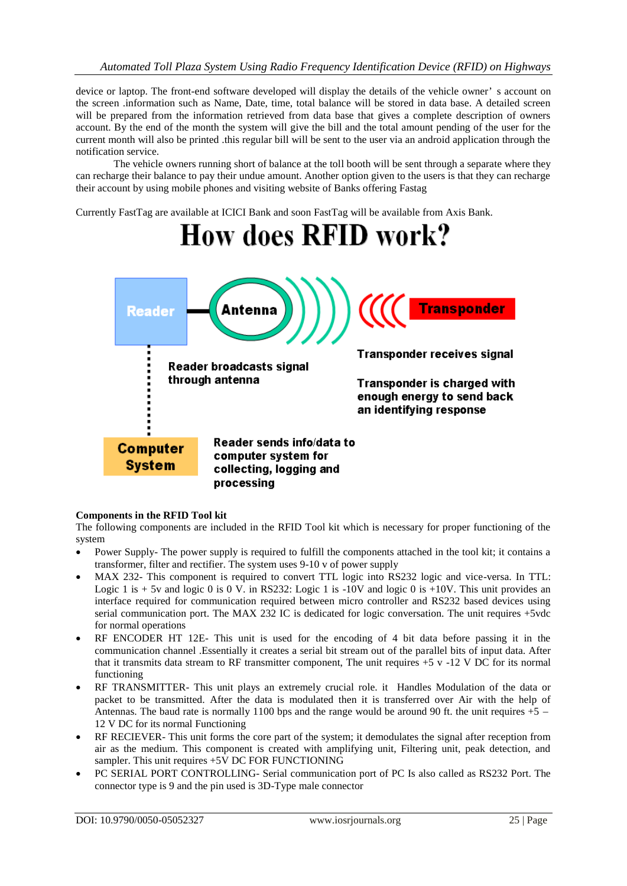device or laptop. The front-end software developed will display the details of the vehicle owner' s account on the screen .information such as Name, Date, time, total balance will be stored in data base. A detailed screen will be prepared from the information retrieved from data base that gives a complete description of owners account. By the end of the month the system will give the bill and the total amount pending of the user for the current month will also be printed .this regular bill will be sent to the user via an android application through the notification service.

The vehicle owners running short of balance at the toll booth will be sent through a separate where they can recharge their balance to pay their undue amount. Another option given to the users is that they can recharge their account by using mobile phones and visiting website of Banks offering Fastag

Currently FastTag are available at ICICI Bank and soon FastTag will be available from Axis Bank.



#### **Components in the RFID Tool kit**

The following components are included in the RFID Tool kit which is necessary for proper functioning of the system

- Power Supply- The power supply is required to fulfill the components attached in the tool kit; it contains a transformer, filter and rectifier. The system uses 9-10 v of power supply
- MAX 232- This component is required to convert TTL logic into RS232 logic and vice-versa. In TTL: Logic 1 is  $+ 5v$  and logic 0 is 0 V. in RS232: Logic 1 is -10V and logic 0 is  $+10V$ . This unit provides an interface required for communication required between micro controller and RS232 based devices using serial communication port. The MAX 232 IC is dedicated for logic conversation. The unit requires +5vdc for normal operations
- RF ENCODER HT 12E- This unit is used for the encoding of 4 bit data before passing it in the communication channel .Essentially it creates a serial bit stream out of the parallel bits of input data. After that it transmits data stream to RF transmitter component, The unit requires  $+5$  v  $-12$  V DC for its normal functioning
- RF TRANSMITTER- This unit plays an extremely crucial role. it Handles Modulation of the data or packet to be transmitted. After the data is modulated then it is transferred over Air with the help of Antennas. The baud rate is normally 1100 bps and the range would be around 90 ft. the unit requires  $+5$  – 12 V DC for its normal Functioning
- RF RECIEVER- This unit forms the core part of the system; it demodulates the signal after reception from air as the medium. This component is created with amplifying unit, Filtering unit, peak detection, and sampler. This unit requires +5V DC FOR FUNCTIONING
- PC SERIAL PORT CONTROLLING- Serial communication port of PC Is also called as RS232 Port. The connector type is 9 and the pin used is 3D-Type male connector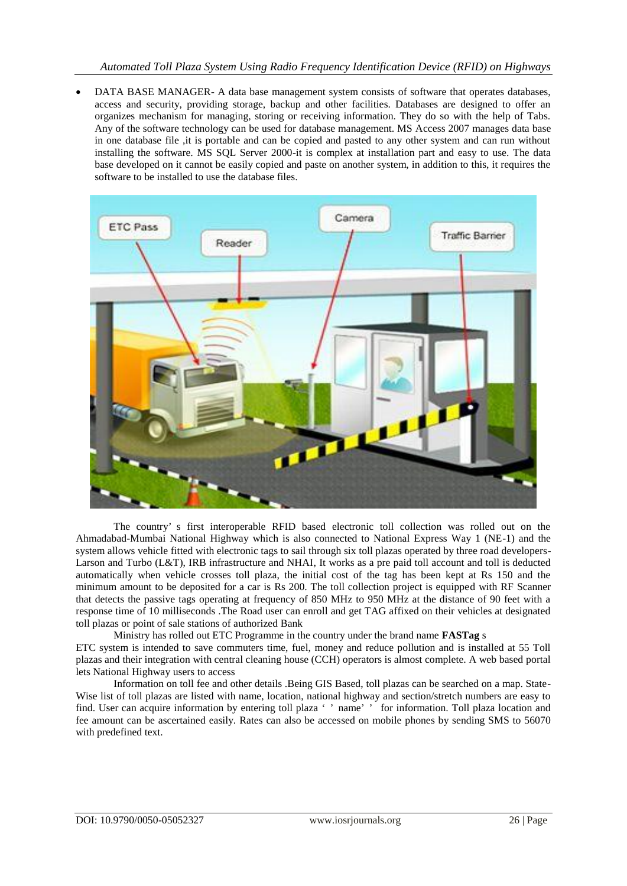DATA BASE MANAGER- A data base management system consists of software that operates databases, access and security, providing storage, backup and other facilities. Databases are designed to offer an organizes mechanism for managing, storing or receiving information. They do so with the help of Tabs. Any of the software technology can be used for database management. MS Access 2007 manages data base in one database file ,it is portable and can be copied and pasted to any other system and can run without installing the software. MS SQL Server 2000-it is complex at installation part and easy to use. The data base developed on it cannot be easily copied and paste on another system, in addition to this, it requires the software to be installed to use the database files.



The country' s first interoperable RFID based electronic toll collection was rolled out on the Ahmadabad-Mumbai National Highway which is also connected to National Express Way 1 (NE-1) and the system allows vehicle fitted with electronic tags to sail through six toll plazas operated by three road developers-Larson and Turbo (L&T), IRB infrastructure and NHAI, It works as a pre paid toll account and toll is deducted automatically when vehicle crosses toll plaza, the initial cost of the tag has been kept at Rs 150 and the minimum amount to be deposited for a car is Rs 200. The toll collection project is equipped with RF Scanner that detects the passive tags operating at frequency of 850 MHz to 950 MHz at the distance of 90 feet with a response time of 10 milliseconds .The Road user can enroll and get TAG affixed on their vehicles at designated toll plazas or point of sale stations of authorized Bank

Ministry has rolled out ETC Programme in the country under the brand name **FASTag** s ETC system is intended to save commuters time, fuel, money and reduce pollution and is installed at 55 Toll plazas and their integration with central cleaning house (CCH) operators is almost complete. A web based portal lets National Highway users to access

Information on toll fee and other details .Being GIS Based, toll plazas can be searched on a map. State-Wise list of toll plazas are listed with name, location, national highway and section/stretch numbers are easy to find. User can acquire information by entering toll plaza ' ' name' ' for information. Toll plaza location and fee amount can be ascertained easily. Rates can also be accessed on mobile phones by sending SMS to 56070 with predefined text.